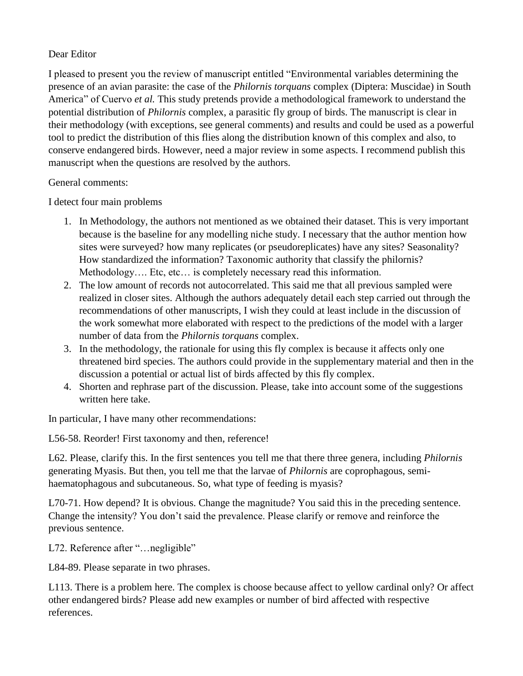## Dear Editor

I pleased to present you the review of manuscript entitled "Environmental variables determining the presence of an avian parasite: the case of the *Philornis torquans* complex (Diptera: Muscidae) in South America" of Cuervo *et al.* This study pretends provide a methodological framework to understand the potential distribution of *Philornis* complex, a parasitic fly group of birds. The manuscript is clear in their methodology (with exceptions, see general comments) and results and could be used as a powerful tool to predict the distribution of this flies along the distribution known of this complex and also, to conserve endangered birds. However, need a major review in some aspects. I recommend publish this manuscript when the questions are resolved by the authors.

General comments:

I detect four main problems

- 1. In Methodology, the authors not mentioned as we obtained their dataset. This is very important because is the baseline for any modelling niche study. I necessary that the author mention how sites were surveyed? how many replicates (or pseudoreplicates) have any sites? Seasonality? How standardized the information? Taxonomic authority that classify the philornis? Methodology.... Etc, etc... is completely necessary read this information.
- 2. The low amount of records not autocorrelated. This said me that all previous sampled were realized in closer sites. Although the authors adequately detail each step carried out through the recommendations of other manuscripts, I wish they could at least include in the discussion of the work somewhat more elaborated with respect to the predictions of the model with a larger number of data from the *Philornis torquans* complex.
- 3. In the methodology, the rationale for using this fly complex is because it affects only one threatened bird species. The authors could provide in the supplementary material and then in the discussion a potential or actual list of birds affected by this fly complex.
- 4. Shorten and rephrase part of the discussion. Please, take into account some of the suggestions written here take.

In particular, I have many other recommendations:

L56-58. Reorder! First taxonomy and then, reference!

L62. Please, clarify this. In the first sentences you tell me that there three genera, including *Philornis*  generating Myasis. But then, you tell me that the larvae of *Philornis* are coprophagous, semihaematophagous and subcutaneous. So, what type of feeding is myasis?

L70-71. How depend? It is obvious. Change the magnitude? You said this in the preceding sentence. Change the intensity? You don't said the prevalence. Please clarify or remove and reinforce the previous sentence.

L72. Reference after "... negligible"

L84-89. Please separate in two phrases.

L113. There is a problem here. The complex is choose because affect to yellow cardinal only? Or affect other endangered birds? Please add new examples or number of bird affected with respective references.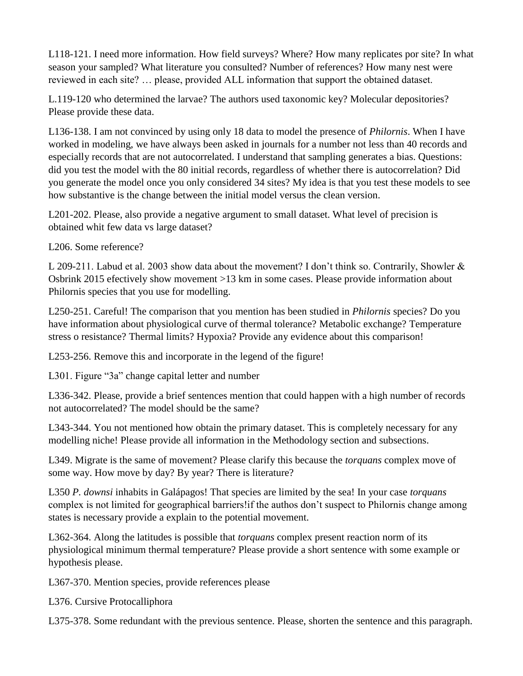L118-121. I need more information. How field surveys? Where? How many replicates por site? In what season your sampled? What literature you consulted? Number of references? How many nest were reviewed in each site? … please, provided ALL information that support the obtained dataset.

L.119-120 who determined the larvae? The authors used taxonomic key? Molecular depositories? Please provide these data.

L136-138. I am not convinced by using only 18 data to model the presence of *Philornis*. When I have worked in modeling, we have always been asked in journals for a number not less than 40 records and especially records that are not autocorrelated. I understand that sampling generates a bias. Questions: did you test the model with the 80 initial records, regardless of whether there is autocorrelation? Did you generate the model once you only considered 34 sites? My idea is that you test these models to see how substantive is the change between the initial model versus the clean version.

L201-202. Please, also provide a negative argument to small dataset. What level of precision is obtained whit few data vs large dataset?

L206. Some reference?

L 209-211. Labud et al. 2003 show data about the movement? I don't think so. Contrarily, Showler & Osbrink 2015 efectively show movement >13 km in some cases. Please provide information about Philornis species that you use for modelling.

L250-251. Careful! The comparison that you mention has been studied in *Philornis* species? Do you have information about physiological curve of thermal tolerance? Metabolic exchange? Temperature stress o resistance? Thermal limits? Hypoxia? Provide any evidence about this comparison!

L253-256. Remove this and incorporate in the legend of the figure!

L301. Figure "3a" change capital letter and number

L336-342. Please, provide a brief sentences mention that could happen with a high number of records not autocorrelated? The model should be the same?

L343-344. You not mentioned how obtain the primary dataset. This is completely necessary for any modelling niche! Please provide all information in the Methodology section and subsections.

L349. Migrate is the same of movement? Please clarify this because the *torquans* complex move of some way. How move by day? By year? There is literature?

L350 *P. downsi* inhabits in Galápagos! That species are limited by the sea! In your case *torquans*  complex is not limited for geographical barriers!if the authos don't suspect to Philornis change among states is necessary provide a explain to the potential movement.

L362-364. Along the latitudes is possible that *torquans* complex present reaction norm of its physiological minimum thermal temperature? Please provide a short sentence with some example or hypothesis please.

L367-370. Mention species, provide references please

L376. Cursive Protocalliphora

L375-378. Some redundant with the previous sentence. Please, shorten the sentence and this paragraph.